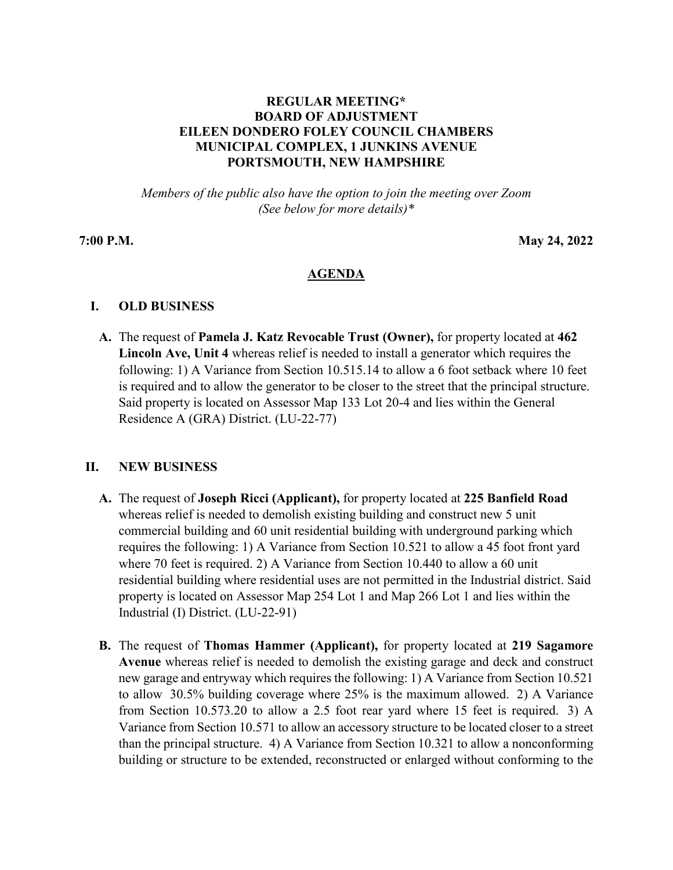# **REGULAR MEETING\* BOARD OF ADJUSTMENT EILEEN DONDERO FOLEY COUNCIL CHAMBERS MUNICIPAL COMPLEX, 1 JUNKINS AVENUE PORTSMOUTH, NEW HAMPSHIRE**

*Members of the public also have the option to join the meeting over Zoom (See below for more details)\**

**7:00 P.M. May 24, 2022**

### **AGENDA**

### **I. OLD BUSINESS**

**A.** The request of **Pamela J. Katz Revocable Trust (Owner),** for property located at **462 Lincoln Ave, Unit 4** whereas relief is needed to install a generator which requires the following: 1) A Variance from Section 10.515.14 to allow a 6 foot setback where 10 feet is required and to allow the generator to be closer to the street that the principal structure. Said property is located on Assessor Map 133 Lot 20-4 and lies within the General Residence A (GRA) District. (LU-22-77)

## **II. NEW BUSINESS**

- **A.** The request of **Joseph Ricci (Applicant),** for property located at **225 Banfield Road** whereas relief is needed to demolish existing building and construct new 5 unit commercial building and 60 unit residential building with underground parking which requires the following: 1) A Variance from Section 10.521 to allow a 45 foot front yard where 70 feet is required. 2) A Variance from Section 10.440 to allow a 60 unit residential building where residential uses are not permitted in the Industrial district. Said property is located on Assessor Map 254 Lot 1 and Map 266 Lot 1 and lies within the Industrial (I) District. (LU-22-91)
- **B.** The request of **Thomas Hammer (Applicant),** for property located at **219 Sagamore Avenue** whereas relief is needed to demolish the existing garage and deck and construct new garage and entryway which requires the following: 1) A Variance from Section 10.521 to allow 30.5% building coverage where 25% is the maximum allowed. 2) A Variance from Section 10.573.20 to allow a 2.5 foot rear yard where 15 feet is required. 3) A Variance from Section 10.571 to allow an accessory structure to be located closer to a street than the principal structure. 4) A Variance from Section 10.321 to allow a nonconforming building or structure to be extended, reconstructed or enlarged without conforming to the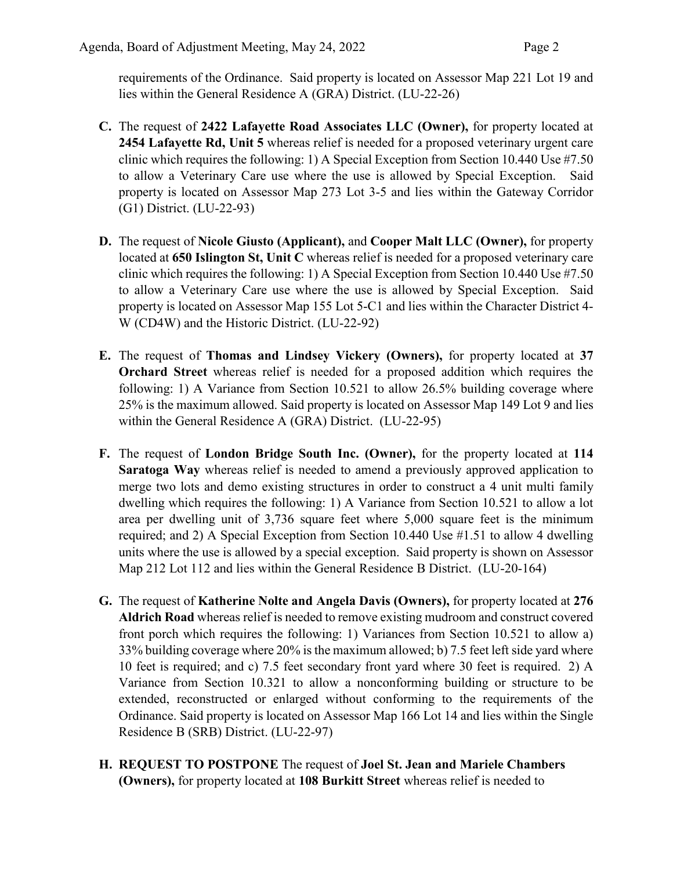requirements of the Ordinance. Said property is located on Assessor Map 221 Lot 19 and lies within the General Residence A (GRA) District. (LU-22-26)

- **C.** The request of **2422 Lafayette Road Associates LLC (Owner),** for property located at **2454 Lafayette Rd, Unit 5** whereas relief is needed for a proposed veterinary urgent care clinic which requires the following: 1) A Special Exception from Section 10.440 Use #7.50 to allow a Veterinary Care use where the use is allowed by Special Exception. Said property is located on Assessor Map 273 Lot 3-5 and lies within the Gateway Corridor (G1) District. (LU-22-93)
- **D.** The request of **Nicole Giusto (Applicant),** and **Cooper Malt LLC (Owner),** for property located at **650 Islington St, Unit C** whereas relief is needed for a proposed veterinary care clinic which requires the following: 1) A Special Exception from Section 10.440 Use #7.50 to allow a Veterinary Care use where the use is allowed by Special Exception. Said property is located on Assessor Map 155 Lot 5-C1 and lies within the Character District 4- W (CD4W) and the Historic District. (LU-22-92)
- **E.** The request of **Thomas and Lindsey Vickery (Owners),** for property located at **37 Orchard Street** whereas relief is needed for a proposed addition which requires the following: 1) A Variance from Section 10.521 to allow 26.5% building coverage where 25% is the maximum allowed. Said property is located on Assessor Map 149 Lot 9 and lies within the General Residence A (GRA) District. (LU-22-95)
- **F.** The request of **London Bridge South Inc. (Owner),** for the property located at **114 Saratoga Way** whereas relief is needed to amend a previously approved application to merge two lots and demo existing structures in order to construct a 4 unit multi family dwelling which requires the following: 1) A Variance from Section 10.521 to allow a lot area per dwelling unit of 3,736 square feet where 5,000 square feet is the minimum required; and 2) A Special Exception from Section 10.440 Use #1.51 to allow 4 dwelling units where the use is allowed by a special exception. Said property is shown on Assessor Map 212 Lot 112 and lies within the General Residence B District. (LU-20-164)
- **G.** The request of **Katherine Nolte and Angela Davis (Owners),** for property located at **276 Aldrich Road** whereas relief is needed to remove existing mudroom and construct covered front porch which requires the following: 1) Variances from Section 10.521 to allow a) 33% building coverage where 20% is the maximum allowed; b) 7.5 feet left side yard where 10 feet is required; and c) 7.5 feet secondary front yard where 30 feet is required. 2) A Variance from Section 10.321 to allow a nonconforming building or structure to be extended, reconstructed or enlarged without conforming to the requirements of the Ordinance. Said property is located on Assessor Map 166 Lot 14 and lies within the Single Residence B (SRB) District. (LU-22-97)
- **H. REQUEST TO POSTPONE** The request of **Joel St. Jean and Mariele Chambers (Owners),** for property located at **108 Burkitt Street** whereas relief is needed to